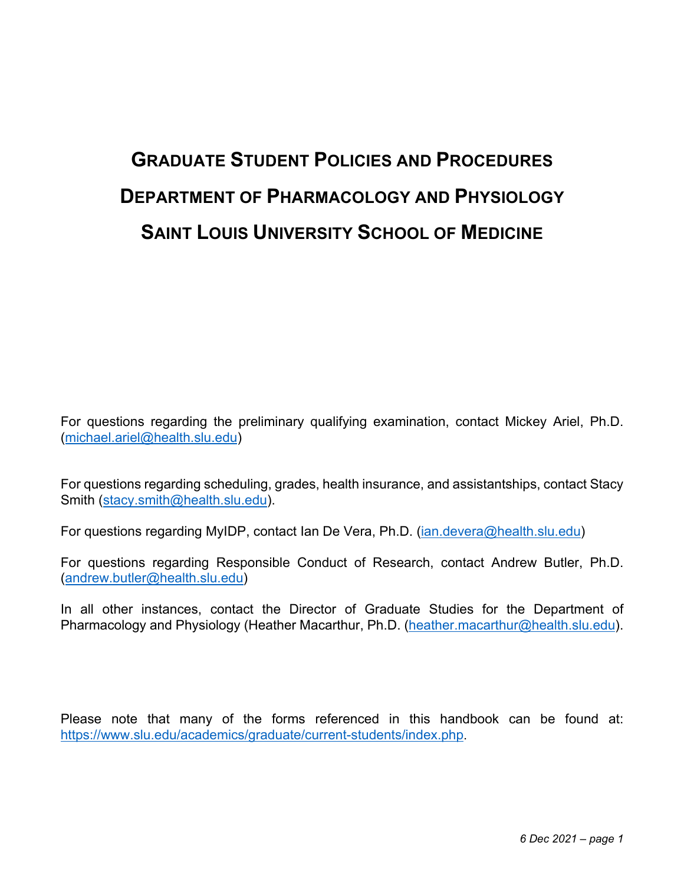# **GRADUATE STUDENT POLICIES AND PROCEDURES DEPARTMENT OF PHARMACOLOGY AND PHYSIOLOGY SAINT LOUIS UNIVERSITY SCHOOL OF MEDICINE**

For questions regarding the preliminary qualifying examination, contact Mickey Ariel, Ph.D. (michael.ariel@health.slu.edu)

For questions regarding scheduling, grades, health insurance, and assistantships, contact Stacy Smith (stacy.smith@health.slu.edu).

For questions regarding MyIDP, contact Ian De Vera, Ph.D. (ian.devera@health.slu.edu)

For questions regarding Responsible Conduct of Research, contact Andrew Butler, Ph.D. (andrew.butler@health.slu.edu)

In all other instances, contact the Director of Graduate Studies for the Department of Pharmacology and Physiology (Heather Macarthur, Ph.D. (heather.macarthur@health.slu.edu).

Please note that many of the forms referenced in this handbook can be found at: https://www.slu.edu/academics/graduate/current-students/index.php.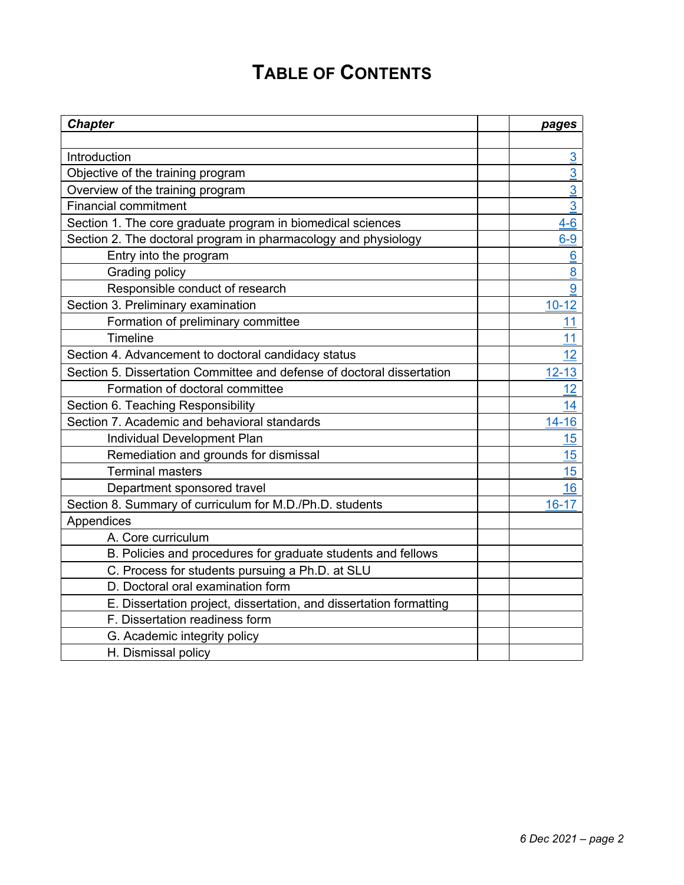# **TABLE OF CONTENTS**

| <b>Chapter</b>                                                         | pages          |
|------------------------------------------------------------------------|----------------|
|                                                                        |                |
| Introduction                                                           | 3              |
| Objective of the training program                                      | $\overline{3}$ |
| Overview of the training program                                       | 3              |
| <b>Financial commitment</b>                                            | $\overline{3}$ |
| Section 1. The core graduate program in biomedical sciences            | $4-6$          |
| Section 2. The doctoral program in pharmacology and physiology         | $6-9$          |
| Entry into the program                                                 | 6              |
| Grading policy                                                         | 8              |
| Responsible conduct of research                                        | 9              |
| Section 3. Preliminary examination                                     | $10 - 12$      |
| Formation of preliminary committee                                     | 11             |
| <b>Timeline</b>                                                        | 11             |
| Section 4. Advancement to doctoral candidacy status                    | 12             |
| Section 5. Dissertation Committee and defense of doctoral dissertation | $12 - 13$      |
| Formation of doctoral committee                                        | 12             |
| Section 6. Teaching Responsibility                                     | 14             |
| Section 7. Academic and behavioral standards                           | $14 - 16$      |
| Individual Development Plan                                            | 15             |
| Remediation and grounds for dismissal                                  | 15             |
| <b>Terminal masters</b>                                                | 15             |
| Department sponsored travel                                            | 16             |
| Section 8. Summary of curriculum for M.D./Ph.D. students               | $16 - 17$      |
| Appendices                                                             |                |
| A. Core curriculum                                                     |                |
| B. Policies and procedures for graduate students and fellows           |                |
| C. Process for students pursuing a Ph.D. at SLU                        |                |
| D. Doctoral oral examination form                                      |                |
| E. Dissertation project, dissertation, and dissertation formatting     |                |
| F. Dissertation readiness form                                         |                |
| G. Academic integrity policy                                           |                |
| H. Dismissal policy                                                    |                |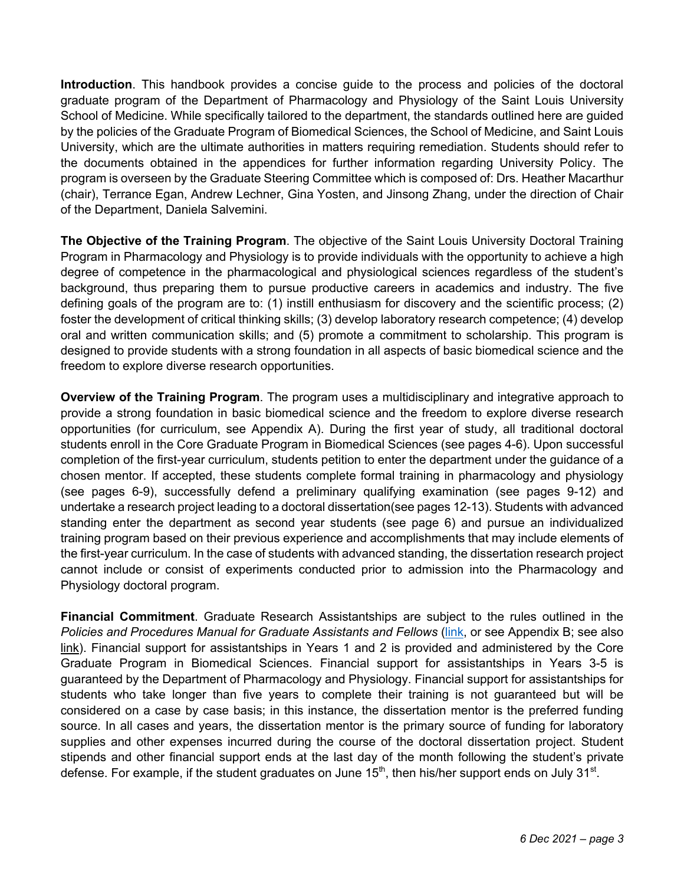**Introduction**. This handbook provides a concise guide to the process and policies of the doctoral graduate program of the Department of Pharmacology and Physiology of the Saint Louis University School of Medicine. While specifically tailored to the department, the standards outlined here are guided by the policies of the Graduate Program of Biomedical Sciences, the School of Medicine, and Saint Louis University, which are the ultimate authorities in matters requiring remediation. Students should refer to the documents obtained in the appendices for further information regarding University Policy. The program is overseen by the Graduate Steering Committee which is composed of: Drs. Heather Macarthur (chair), Terrance Egan, Andrew Lechner, Gina Yosten, and Jinsong Zhang, under the direction of Chair of the Department, Daniela Salvemini.

**The Objective of the Training Program**. The objective of the Saint Louis University Doctoral Training Program in Pharmacology and Physiology is to provide individuals with the opportunity to achieve a high degree of competence in the pharmacological and physiological sciences regardless of the student's background, thus preparing them to pursue productive careers in academics and industry. The five defining goals of the program are to: (1) instill enthusiasm for discovery and the scientific process; (2) foster the development of critical thinking skills; (3) develop laboratory research competence; (4) develop oral and written communication skills; and (5) promote a commitment to scholarship. This program is designed to provide students with a strong foundation in all aspects of basic biomedical science and the freedom to explore diverse research opportunities.

**Overview of the Training Program**. The program uses a multidisciplinary and integrative approach to provide a strong foundation in basic biomedical science and the freedom to explore diverse research opportunities (for curriculum, see Appendix A). During the first year of study, all traditional doctoral students enroll in the Core Graduate Program in Biomedical Sciences (see pages 4-6). Upon successful completion of the first-year curriculum, students petition to enter the department under the guidance of a chosen mentor. If accepted, these students complete formal training in pharmacology and physiology (see pages 6-9), successfully defend a preliminary qualifying examination (see pages 9-12) and undertake a research project leading to a doctoral dissertation(see pages 12-13). Students with advanced standing enter the department as second year students (see page 6) and pursue an individualized training program based on their previous experience and accomplishments that may include elements of the first-year curriculum. In the case of students with advanced standing, the dissertation research project cannot include or consist of experiments conducted prior to admission into the Pharmacology and Physiology doctoral program.

**Financial Commitment**. Graduate Research Assistantships are subject to the rules outlined in the *Policies and Procedures Manual for Graduate Assistants and Fellows* (link, or see Appendix B; see also link). Financial support for assistantships in Years 1 and 2 is provided and administered by the Core Graduate Program in Biomedical Sciences. Financial support for assistantships in Years 3-5 is guaranteed by the Department of Pharmacology and Physiology. Financial support for assistantships for students who take longer than five years to complete their training is not guaranteed but will be considered on a case by case basis; in this instance, the dissertation mentor is the preferred funding source. In all cases and years, the dissertation mentor is the primary source of funding for laboratory supplies and other expenses incurred during the course of the doctoral dissertation project. Student stipends and other financial support ends at the last day of the month following the student's private defense. For example, if the student graduates on June  $15<sup>th</sup>$ , then his/her support ends on July  $31<sup>st</sup>$ .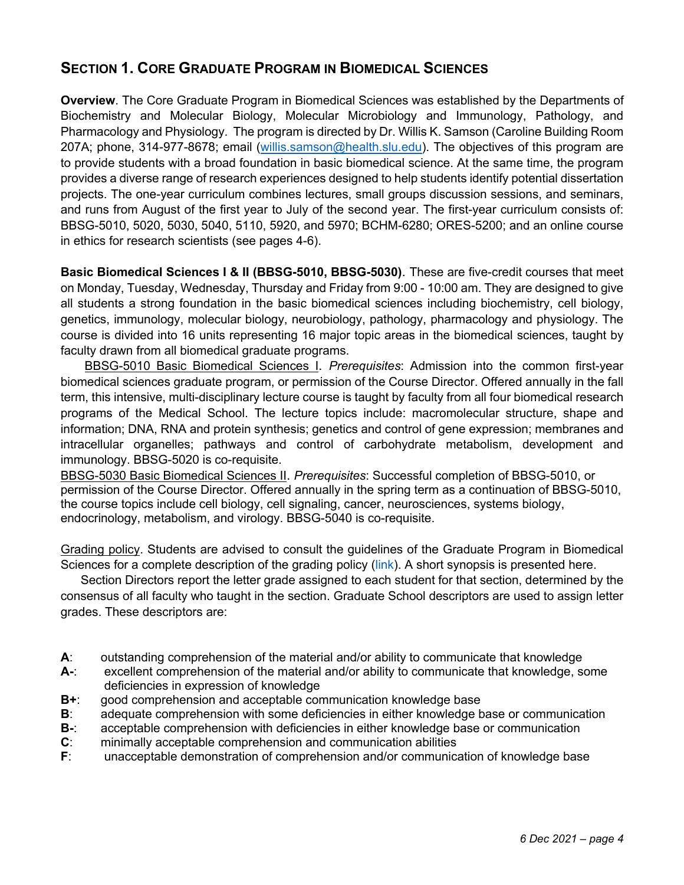# **SECTION 1. CORE GRADUATE PROGRAM IN BIOMEDICAL SCIENCES**

**Overview**. The Core Graduate Program in Biomedical Sciences was established by the Departments of Biochemistry and Molecular Biology, Molecular Microbiology and Immunology, Pathology, and Pharmacology and Physiology. The program is directed by Dr. Willis K. Samson (Caroline Building Room 207A; phone, 314-977-8678; email (willis.samson@health.slu.edu). The objectives of this program are to provide students with a broad foundation in basic biomedical science. At the same time, the program provides a diverse range of research experiences designed to help students identify potential dissertation projects. The one-year curriculum combines lectures, small groups discussion sessions, and seminars, and runs from August of the first year to July of the second year. The first-year curriculum consists of: BBSG-5010, 5020, 5030, 5040, 5110, 5920, and 5970; BCHM-6280; ORES-5200; and an online course in ethics for research scientists (see pages 4-6).

**Basic Biomedical Sciences I & II (BBSG-5010, BBSG-5030)**. These are five-credit courses that meet on Monday, Tuesday, Wednesday, Thursday and Friday from 9:00 - 10:00 am. They are designed to give all students a strong foundation in the basic biomedical sciences including biochemistry, cell biology, genetics, immunology, molecular biology, neurobiology, pathology, pharmacology and physiology. The course is divided into 16 units representing 16 major topic areas in the biomedical sciences, taught by faculty drawn from all biomedical graduate programs.

BBSG-5010 Basic Biomedical Sciences I. *Prerequisites*: Admission into the common first-year biomedical sciences graduate program, or permission of the Course Director. Offered annually in the fall term, this intensive, multi-disciplinary lecture course is taught by faculty from all four biomedical research programs of the Medical School. The lecture topics include: macromolecular structure, shape and information; DNA, RNA and protein synthesis; genetics and control of gene expression; membranes and intracellular organelles; pathways and control of carbohydrate metabolism, development and immunology. BBSG-5020 is co-requisite.

BBSG-5030 Basic Biomedical Sciences II. *Prerequisites*: Successful completion of BBSG-5010, or permission of the Course Director. Offered annually in the spring term as a continuation of BBSG-5010, the course topics include cell biology, cell signaling, cancer, neurosciences, systems biology, endocrinology, metabolism, and virology. BBSG-5040 is co-requisite.

Grading policy. Students are advised to consult the guidelines of the Graduate Program in Biomedical Sciences for a complete description of the grading policy (link). A short synopsis is presented here.

Section Directors report the letter grade assigned to each student for that section, determined by the consensus of all faculty who taught in the section. Graduate School descriptors are used to assign letter grades. These descriptors are:

- **A**: outstanding comprehension of the material and/or ability to communicate that knowledge
- **A-**: excellent comprehension of the material and/or ability to communicate that knowledge, some deficiencies in expression of knowledge
- **B+**: good comprehension and acceptable communication knowledge base
- **B**: adequate comprehension with some deficiencies in either knowledge base or communication
- **B-**: acceptable comprehension with deficiencies in either knowledge base or communication
- **C**: minimally acceptable comprehension and communication abilities
- **F**: unacceptable demonstration of comprehension and/or communication of knowledge base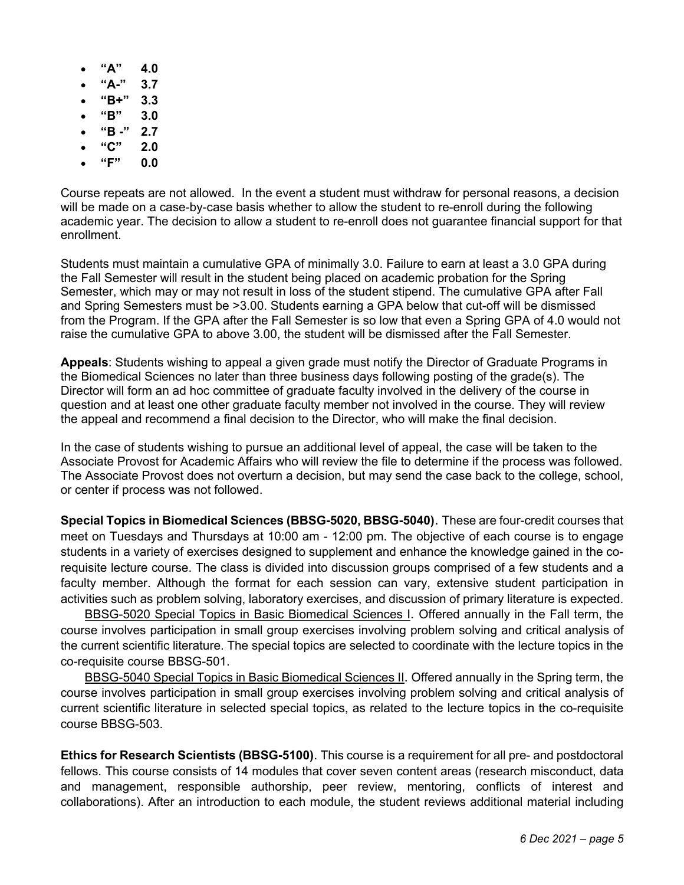- **"A" 4.0**
- **"A-" 3.7**
- **"B+" 3.3**
- **"B" 3.0**
- **"B -" 2.7**
- **"C" 2.0**
- **"F" 0.0**

Course repeats are not allowed. In the event a student must withdraw for personal reasons, a decision will be made on a case-by-case basis whether to allow the student to re-enroll during the following academic year. The decision to allow a student to re-enroll does not guarantee financial support for that enrollment.

Students must maintain a cumulative GPA of minimally 3.0. Failure to earn at least a 3.0 GPA during the Fall Semester will result in the student being placed on academic probation for the Spring Semester, which may or may not result in loss of the student stipend. The cumulative GPA after Fall and Spring Semesters must be >3.00. Students earning a GPA below that cut-off will be dismissed from the Program. If the GPA after the Fall Semester is so low that even a Spring GPA of 4.0 would not raise the cumulative GPA to above 3.00, the student will be dismissed after the Fall Semester.

**Appeals**: Students wishing to appeal a given grade must notify the Director of Graduate Programs in the Biomedical Sciences no later than three business days following posting of the grade(s). The Director will form an ad hoc committee of graduate faculty involved in the delivery of the course in question and at least one other graduate faculty member not involved in the course. They will review the appeal and recommend a final decision to the Director, who will make the final decision.

In the case of students wishing to pursue an additional level of appeal, the case will be taken to the Associate Provost for Academic Affairs who will review the file to determine if the process was followed. The Associate Provost does not overturn a decision, but may send the case back to the college, school, or center if process was not followed.

**Special Topics in Biomedical Sciences (BBSG-5020, BBSG-5040)**. These are four-credit courses that meet on Tuesdays and Thursdays at 10:00 am - 12:00 pm. The objective of each course is to engage students in a variety of exercises designed to supplement and enhance the knowledge gained in the corequisite lecture course. The class is divided into discussion groups comprised of a few students and a faculty member. Although the format for each session can vary, extensive student participation in activities such as problem solving, laboratory exercises, and discussion of primary literature is expected.

BBSG-5020 Special Topics in Basic Biomedical Sciences I. Offered annually in the Fall term, the course involves participation in small group exercises involving problem solving and critical analysis of the current scientific literature. The special topics are selected to coordinate with the lecture topics in the co-requisite course BBSG-501.

BBSG-5040 Special Topics in Basic Biomedical Sciences II. Offered annually in the Spring term, the course involves participation in small group exercises involving problem solving and critical analysis of current scientific literature in selected special topics, as related to the lecture topics in the co-requisite course BBSG-503.

**Ethics for Research Scientists (BBSG-5100)**. This course is a requirement for all pre- and postdoctoral fellows. This course consists of 14 modules that cover seven content areas (research misconduct, data and management, responsible authorship, peer review, mentoring, conflicts of interest and collaborations). After an introduction to each module, the student reviews additional material including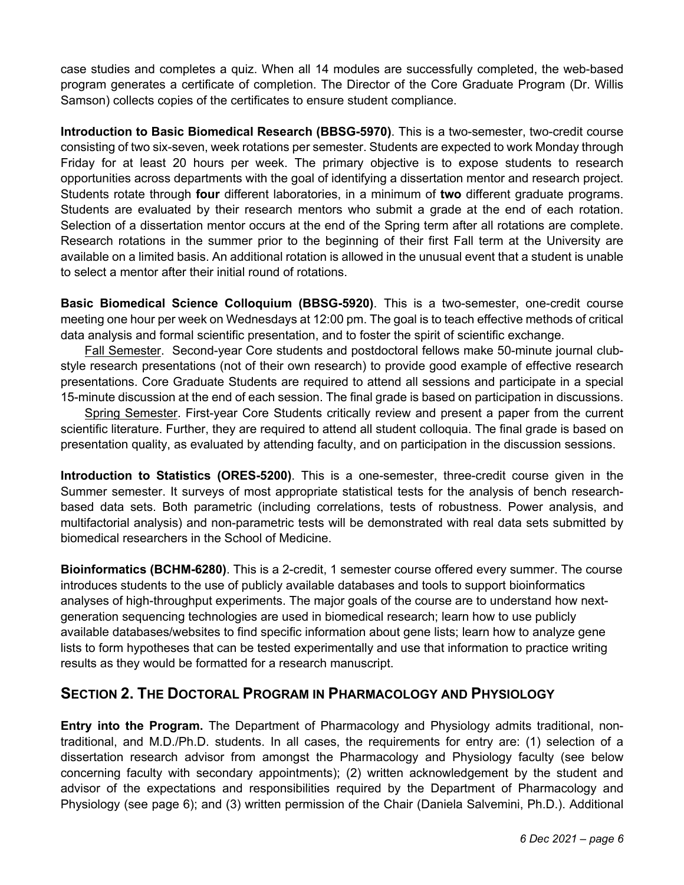case studies and completes a quiz. When all 14 modules are successfully completed, the web-based program generates a certificate of completion. The Director of the Core Graduate Program (Dr. Willis Samson) collects copies of the certificates to ensure student compliance.

**Introduction to Basic Biomedical Research (BBSG-5970)**. This is a two-semester, two-credit course consisting of two six-seven, week rotations per semester. Students are expected to work Monday through Friday for at least 20 hours per week. The primary objective is to expose students to research opportunities across departments with the goal of identifying a dissertation mentor and research project. Students rotate through **four** different laboratories, in a minimum of **two** different graduate programs. Students are evaluated by their research mentors who submit a grade at the end of each rotation. Selection of a dissertation mentor occurs at the end of the Spring term after all rotations are complete. Research rotations in the summer prior to the beginning of their first Fall term at the University are available on a limited basis. An additional rotation is allowed in the unusual event that a student is unable to select a mentor after their initial round of rotations.

**Basic Biomedical Science Colloquium (BBSG-5920)**. This is a two-semester, one-credit course meeting one hour per week on Wednesdays at 12:00 pm. The goal is to teach effective methods of critical data analysis and formal scientific presentation, and to foster the spirit of scientific exchange.

Fall Semester. Second-year Core students and postdoctoral fellows make 50-minute journal clubstyle research presentations (not of their own research) to provide good example of effective research presentations. Core Graduate Students are required to attend all sessions and participate in a special 15-minute discussion at the end of each session. The final grade is based on participation in discussions.

Spring Semester. First-year Core Students critically review and present a paper from the current scientific literature. Further, they are required to attend all student colloquia. The final grade is based on presentation quality, as evaluated by attending faculty, and on participation in the discussion sessions.

**Introduction to Statistics (ORES-5200)**. This is a one-semester, three-credit course given in the Summer semester. It surveys of most appropriate statistical tests for the analysis of bench researchbased data sets. Both parametric (including correlations, tests of robustness. Power analysis, and multifactorial analysis) and non-parametric tests will be demonstrated with real data sets submitted by biomedical researchers in the School of Medicine.

**Bioinformatics (BCHM-6280)**. This is a 2-credit, 1 semester course offered every summer. The course introduces students to the use of publicly available databases and tools to support bioinformatics analyses of high-throughput experiments. The major goals of the course are to understand how nextgeneration sequencing technologies are used in biomedical research; learn how to use publicly available databases/websites to find specific information about gene lists; learn how to analyze gene lists to form hypotheses that can be tested experimentally and use that information to practice writing results as they would be formatted for a research manuscript.

# **SECTION 2. THE DOCTORAL PROGRAM IN PHARMACOLOGY AND PHYSIOLOGY**

**Entry into the Program.** The Department of Pharmacology and Physiology admits traditional, nontraditional, and M.D./Ph.D. students. In all cases, the requirements for entry are: (1) selection of a dissertation research advisor from amongst the Pharmacology and Physiology faculty (see below concerning faculty with secondary appointments); (2) written acknowledgement by the student and advisor of the expectations and responsibilities required by the Department of Pharmacology and Physiology (see page 6); and (3) written permission of the Chair (Daniela Salvemini, Ph.D.). Additional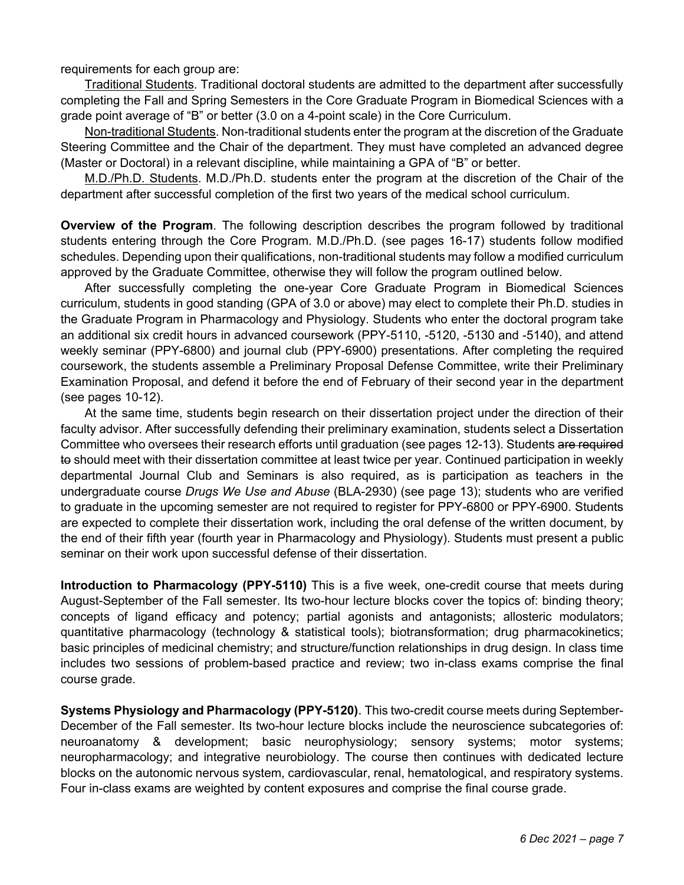requirements for each group are:

Traditional Students. Traditional doctoral students are admitted to the department after successfully completing the Fall and Spring Semesters in the Core Graduate Program in Biomedical Sciences with a grade point average of "B" or better (3.0 on a 4-point scale) in the Core Curriculum.

Non-traditional Students. Non-traditional students enter the program at the discretion of the Graduate Steering Committee and the Chair of the department. They must have completed an advanced degree (Master or Doctoral) in a relevant discipline, while maintaining a GPA of "B" or better.

M.D./Ph.D. Students. M.D./Ph.D. students enter the program at the discretion of the Chair of the department after successful completion of the first two years of the medical school curriculum.

**Overview of the Program**. The following description describes the program followed by traditional students entering through the Core Program. M.D./Ph.D. (see pages 16-17) students follow modified schedules. Depending upon their qualifications, non-traditional students may follow a modified curriculum approved by the Graduate Committee, otherwise they will follow the program outlined below.

After successfully completing the one-year Core Graduate Program in Biomedical Sciences curriculum, students in good standing (GPA of 3.0 or above) may elect to complete their Ph.D. studies in the Graduate Program in Pharmacology and Physiology. Students who enter the doctoral program take an additional six credit hours in advanced coursework (PPY-5110, -5120, -5130 and -5140), and attend weekly seminar (PPY-6800) and journal club (PPY-6900) presentations. After completing the required coursework, the students assemble a Preliminary Proposal Defense Committee, write their Preliminary Examination Proposal, and defend it before the end of February of their second year in the department (see pages 10-12).

At the same time, students begin research on their dissertation project under the direction of their faculty advisor. After successfully defending their preliminary examination, students select a Dissertation Committee who oversees their research efforts until graduation (see pages 12-13). Students are required to should meet with their dissertation committee at least twice per year. Continued participation in weekly departmental Journal Club and Seminars is also required, as is participation as teachers in the undergraduate course *Drugs We Use and Abuse* (BLA-2930) (see page 13); students who are verified to graduate in the upcoming semester are not required to register for PPY-6800 or PPY-6900. Students are expected to complete their dissertation work, including the oral defense of the written document, by the end of their fifth year (fourth year in Pharmacology and Physiology). Students must present a public seminar on their work upon successful defense of their dissertation.

**Introduction to Pharmacology (PPY-5110)** This is a five week, one-credit course that meets during August-September of the Fall semester. Its two-hour lecture blocks cover the topics of: binding theory; concepts of ligand efficacy and potency; partial agonists and antagonists; allosteric modulators; quantitative pharmacology (technology & statistical tools); biotransformation; drug pharmacokinetics; basic principles of medicinal chemistry; and structure/function relationships in drug design. In class time includes two sessions of problem-based practice and review; two in-class exams comprise the final course grade.

**Systems Physiology and Pharmacology (PPY-5120)**. This two-credit course meets during September-December of the Fall semester. Its two-hour lecture blocks include the neuroscience subcategories of: neuroanatomy & development; basic neurophysiology; sensory systems; motor systems; neuropharmacology; and integrative neurobiology. The course then continues with dedicated lecture blocks on the autonomic nervous system, cardiovascular, renal, hematological, and respiratory systems. Four in-class exams are weighted by content exposures and comprise the final course grade.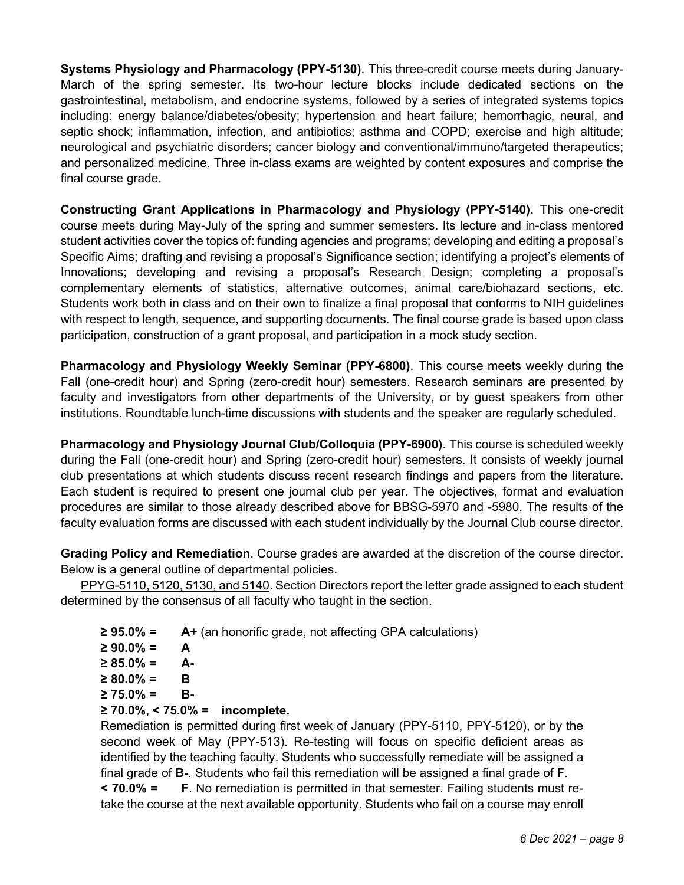**Systems Physiology and Pharmacology (PPY-5130)**. This three-credit course meets during January-March of the spring semester. Its two-hour lecture blocks include dedicated sections on the gastrointestinal, metabolism, and endocrine systems, followed by a series of integrated systems topics including: energy balance/diabetes/obesity; hypertension and heart failure; hemorrhagic, neural, and septic shock; inflammation, infection, and antibiotics; asthma and COPD; exercise and high altitude; neurological and psychiatric disorders; cancer biology and conventional/immuno/targeted therapeutics; and personalized medicine. Three in-class exams are weighted by content exposures and comprise the final course grade.

**Constructing Grant Applications in Pharmacology and Physiology (PPY-5140)**. This one-credit course meets during May-July of the spring and summer semesters. Its lecture and in-class mentored student activities cover the topics of: funding agencies and programs; developing and editing a proposal's Specific Aims; drafting and revising a proposal's Significance section; identifying a project's elements of Innovations; developing and revising a proposal's Research Design; completing a proposal's complementary elements of statistics, alternative outcomes, animal care/biohazard sections, etc. Students work both in class and on their own to finalize a final proposal that conforms to NIH guidelines with respect to length, sequence, and supporting documents. The final course grade is based upon class participation, construction of a grant proposal, and participation in a mock study section.

**Pharmacology and Physiology Weekly Seminar (PPY-6800)**. This course meets weekly during the Fall (one-credit hour) and Spring (zero-credit hour) semesters. Research seminars are presented by faculty and investigators from other departments of the University, or by guest speakers from other institutions. Roundtable lunch-time discussions with students and the speaker are regularly scheduled.

**Pharmacology and Physiology Journal Club/Colloquia (PPY-6900)**. This course is scheduled weekly during the Fall (one-credit hour) and Spring (zero-credit hour) semesters. It consists of weekly journal club presentations at which students discuss recent research findings and papers from the literature. Each student is required to present one journal club per year. The objectives, format and evaluation procedures are similar to those already described above for BBSG-5970 and -5980. The results of the faculty evaluation forms are discussed with each student individually by the Journal Club course director.

**Grading Policy and Remediation**. Course grades are awarded at the discretion of the course director. Below is a general outline of departmental policies.

PPYG-5110, 5120, 5130, and 5140. Section Directors report the letter grade assigned to each student determined by the consensus of all faculty who taught in the section.

- **≥ 95.0% = A+** (an honorific grade, not affecting GPA calculations)
- **≥ 90.0% = A**
- **≥ 85.0% = A-**
- **≥ 80.0% = B**
- **≥ 75.0% = B-**
- **≥ 70.0%, < 75.0% = incomplete.**

Remediation is permitted during first week of January (PPY-5110, PPY-5120), or by the second week of May (PPY-513). Re-testing will focus on specific deficient areas as identified by the teaching faculty. Students who successfully remediate will be assigned a final grade of **B-**. Students who fail this remediation will be assigned a final grade of **F**. **< 70.0% = F**. No remediation is permitted in that semester. Failing students must retake the course at the next available opportunity. Students who fail on a course may enroll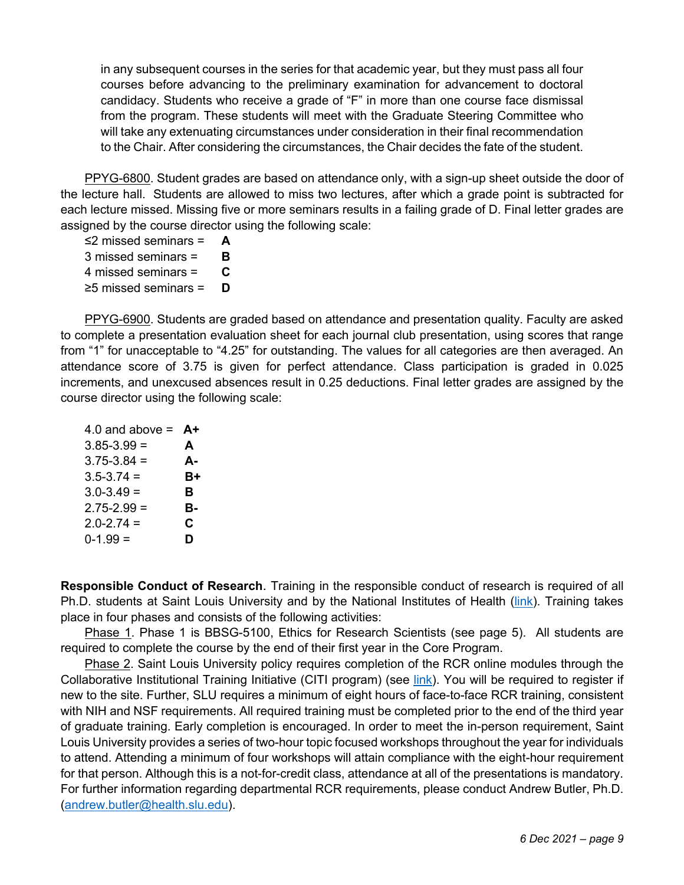in any subsequent courses in the series for that academic year, but they must pass all four courses before advancing to the preliminary examination for advancement to doctoral candidacy. Students who receive a grade of "F" in more than one course face dismissal from the program. These students will meet with the Graduate Steering Committee who will take any extenuating circumstances under consideration in their final recommendation to the Chair. After considering the circumstances, the Chair decides the fate of the student.

PPYG-6800. Student grades are based on attendance only, with a sign-up sheet outside the door of the lecture hall. Students are allowed to miss two lectures, after which a grade point is subtracted for each lecture missed. Missing five or more seminars results in a failing grade of D. Final letter grades are assigned by the course director using the following scale:

≤2 missed seminars = **A** 3 missed seminars = **B** 4 missed seminars = **C** ≥5 missed seminars = **D**

PPYG-6900. Students are graded based on attendance and presentation quality. Faculty are asked to complete a presentation evaluation sheet for each journal club presentation, using scores that range from "1" for unacceptable to "4.25" for outstanding. The values for all categories are then averaged. An attendance score of 3.75 is given for perfect attendance. Class participation is graded in 0.025 increments, and unexcused absences result in 0.25 deductions. Final letter grades are assigned by the course director using the following scale:

| 4.0 and above $=$ | A+ |
|-------------------|----|
| $3.85 - 3.99 =$   | A  |
| $3.75 - 3.84 =$   | А- |
| $3.5 - 3.74 =$    | B+ |
| $3.0 - 3.49 =$    | в  |
| $2.75 - 2.99 =$   | в- |
| $2.0 - 2.74 =$    | С  |
| $0-1.99 =$        | D  |
|                   |    |

**Responsible Conduct of Research**. Training in the responsible conduct of research is required of all Ph.D. students at Saint Louis University and by the National Institutes of Health (link). Training takes place in four phases and consists of the following activities:

Phase 1. Phase 1 is BBSG-5100, Ethics for Research Scientists (see page 5). All students are required to complete the course by the end of their first year in the Core Program.

Phase 2. Saint Louis University policy requires completion of the RCR online modules through the Collaborative Institutional Training Initiative (CITI program) (see link). You will be required to register if new to the site. Further, SLU requires a minimum of eight hours of face-to-face RCR training, consistent with NIH and NSF requirements. All required training must be completed prior to the end of the third year of graduate training. Early completion is encouraged. In order to meet the in-person requirement, Saint Louis University provides a series of two-hour topic focused workshops throughout the year for individuals to attend. Attending a minimum of four workshops will attain compliance with the eight-hour requirement for that person. Although this is a not-for-credit class, attendance at all of the presentations is mandatory. For further information regarding departmental RCR requirements, please conduct Andrew Butler, Ph.D. (andrew.butler@health.slu.edu).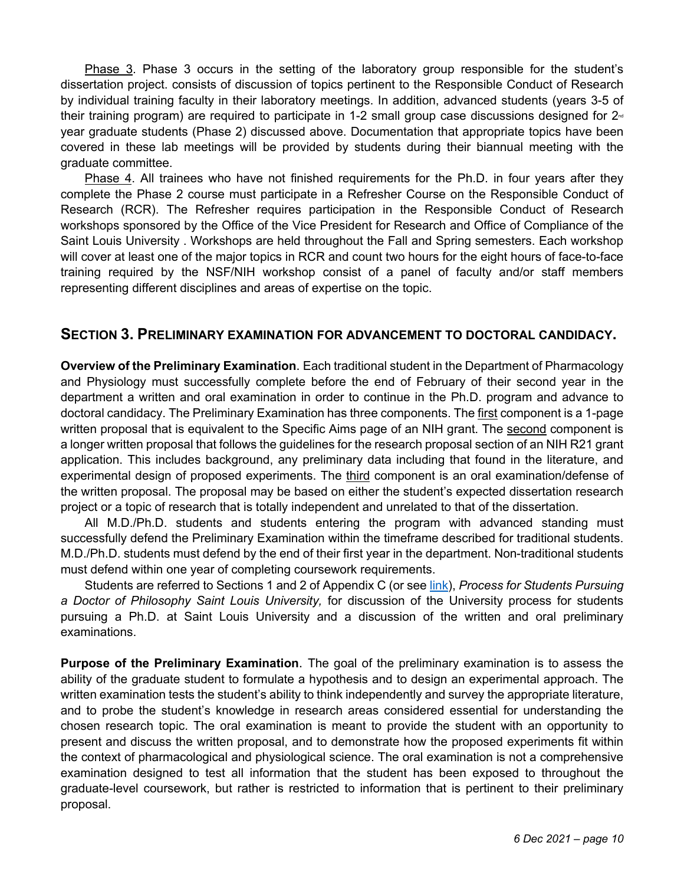Phase 3. Phase 3 occurs in the setting of the laboratory group responsible for the student's dissertation project. consists of discussion of topics pertinent to the Responsible Conduct of Research by individual training faculty in their laboratory meetings. In addition, advanced students (years 3-5 of their training program) are required to participate in 1-2 small group case discussions designed for  $2<sup>d</sup>$ year graduate students (Phase 2) discussed above. Documentation that appropriate topics have been covered in these lab meetings will be provided by students during their biannual meeting with the graduate committee.

Phase 4. All trainees who have not finished requirements for the Ph.D. in four years after they complete the Phase 2 course must participate in a Refresher Course on the Responsible Conduct of Research (RCR). The Refresher requires participation in the Responsible Conduct of Research workshops sponsored by the Office of the Vice President for Research and Office of Compliance of the Saint Louis University . Workshops are held throughout the Fall and Spring semesters. Each workshop will cover at least one of the major topics in RCR and count two hours for the eight hours of face-to-face training required by the NSF/NIH workshop consist of a panel of faculty and/or staff members representing different disciplines and areas of expertise on the topic.

#### **SECTION 3. PRELIMINARY EXAMINATION FOR ADVANCEMENT TO DOCTORAL CANDIDACY.**

**Overview of the Preliminary Examination**. Each traditional student in the Department of Pharmacology and Physiology must successfully complete before the end of February of their second year in the department a written and oral examination in order to continue in the Ph.D. program and advance to doctoral candidacy. The Preliminary Examination has three components. The first component is a 1-page written proposal that is equivalent to the Specific Aims page of an NIH grant. The second component is a longer written proposal that follows the guidelines for the research proposal section of an NIH R21 grant application. This includes background, any preliminary data including that found in the literature, and experimental design of proposed experiments. The third component is an oral examination/defense of the written proposal. The proposal may be based on either the student's expected dissertation research project or a topic of research that is totally independent and unrelated to that of the dissertation.

All M.D./Ph.D. students and students entering the program with advanced standing must successfully defend the Preliminary Examination within the timeframe described for traditional students. M.D./Ph.D. students must defend by the end of their first year in the department. Non-traditional students must defend within one year of completing coursework requirements.

Students are referred to Sections 1 and 2 of Appendix C (or see link), *Process for Students Pursuing a Doctor of Philosophy Saint Louis University,* for discussion of the University process for students pursuing a Ph.D. at Saint Louis University and a discussion of the written and oral preliminary examinations.

**Purpose of the Preliminary Examination**. The goal of the preliminary examination is to assess the ability of the graduate student to formulate a hypothesis and to design an experimental approach. The written examination tests the student's ability to think independently and survey the appropriate literature, and to probe the student's knowledge in research areas considered essential for understanding the chosen research topic. The oral examination is meant to provide the student with an opportunity to present and discuss the written proposal, and to demonstrate how the proposed experiments fit within the context of pharmacological and physiological science. The oral examination is not a comprehensive examination designed to test all information that the student has been exposed to throughout the graduate-level coursework, but rather is restricted to information that is pertinent to their preliminary proposal.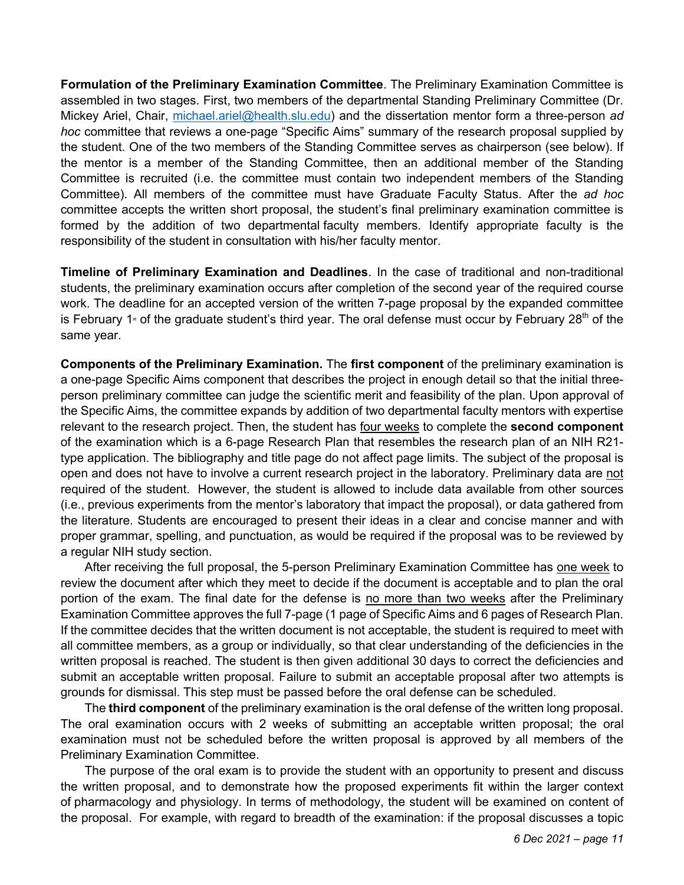**Formulation of the Preliminary Examination Committee**. The Preliminary Examination Committee is assembled in two stages. First, two members of the departmental Standing Preliminary Committee (Dr. Mickey Ariel, Chair, michael.ariel@health.slu.edu) and the dissertation mentor form a three-person *ad hoc* committee that reviews a one-page "Specific Aims" summary of the research proposal supplied by the student. One of the two members of the Standing Committee serves as chairperson (see below). If the mentor is a member of the Standing Committee, then an additional member of the Standing Committee is recruited (i.e. the committee must contain two independent members of the Standing Committee). All members of the committee must have Graduate Faculty Status. After the *ad hoc* committee accepts the written short proposal, the student's final preliminary examination committee is formed by the addition of two departmental faculty members. Identify appropriate faculty is the responsibility of the student in consultation with his/her faculty mentor.

**Timeline of Preliminary Examination and Deadlines**. In the case of traditional and non-traditional students, the preliminary examination occurs after completion of the second year of the required course work. The deadline for an accepted version of the written 7-page proposal by the expanded committee is February 1<sup> $st$ </sup> of the graduate student's third year. The oral defense must occur by February 28<sup>th</sup> of the same year.

**Components of the Preliminary Examination.** The **first component** of the preliminary examination is a one-page Specific Aims component that describes the project in enough detail so that the initial threeperson preliminary committee can judge the scientific merit and feasibility of the plan. Upon approval of the Specific Aims, the committee expands by addition of two departmental faculty mentors with expertise relevant to the research project. Then, the student has four weeks to complete the **second component** of the examination which is a 6-page Research Plan that resembles the research plan of an NIH R21 type application. The bibliography and title page do not affect page limits. The subject of the proposal is open and does not have to involve a current research project in the laboratory. Preliminary data are not required of the student. However, the student is allowed to include data available from other sources (i.e., previous experiments from the mentor's laboratory that impact the proposal), or data gathered from the literature. Students are encouraged to present their ideas in a clear and concise manner and with proper grammar, spelling, and punctuation, as would be required if the proposal was to be reviewed by a regular NIH study section.

After receiving the full proposal, the 5-person Preliminary Examination Committee has one week to review the document after which they meet to decide if the document is acceptable and to plan the oral portion of the exam. The final date for the defense is no more than two weeks after the Preliminary Examination Committee approves the full 7-page (1 page of Specific Aims and 6 pages of Research Plan. If the committee decides that the written document is not acceptable, the student is required to meet with all committee members, as a group or individually, so that clear understanding of the deficiencies in the written proposal is reached. The student is then given additional 30 days to correct the deficiencies and submit an acceptable written proposal. Failure to submit an acceptable proposal after two attempts is grounds for dismissal. This step must be passed before the oral defense can be scheduled.

The **third component** of the preliminary examination is the oral defense of the written long proposal. The oral examination occurs with 2 weeks of submitting an acceptable written proposal; the oral examination must not be scheduled before the written proposal is approved by all members of the Preliminary Examination Committee.

The purpose of the oral exam is to provide the student with an opportunity to present and discuss the written proposal, and to demonstrate how the proposed experiments fit within the larger context of pharmacology and physiology. In terms of methodology, the student will be examined on content of the proposal. For example, with regard to breadth of the examination: if the proposal discusses a topic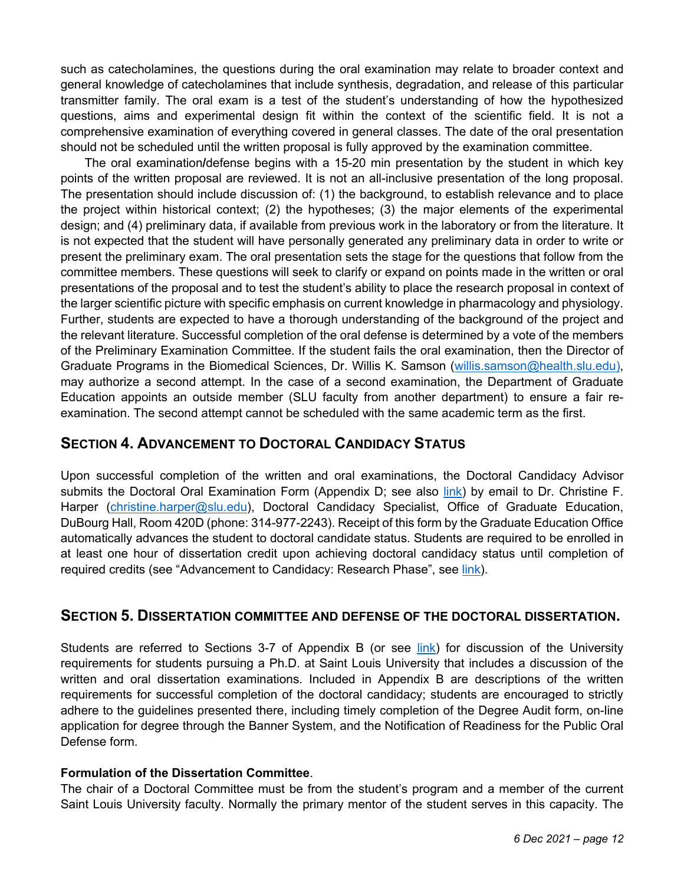such as catecholamines, the questions during the oral examination may relate to broader context and general knowledge of catecholamines that include synthesis, degradation, and release of this particular transmitter family. The oral exam is a test of the student's understanding of how the hypothesized questions, aims and experimental design fit within the context of the scientific field. It is not a comprehensive examination of everything covered in general classes. The date of the oral presentation should not be scheduled until the written proposal is fully approved by the examination committee.

The oral examination**/**defense begins with a 15-20 min presentation by the student in which key points of the written proposal are reviewed. It is not an all-inclusive presentation of the long proposal. The presentation should include discussion of: (1) the background, to establish relevance and to place the project within historical context; (2) the hypotheses; (3) the major elements of the experimental design; and (4) preliminary data, if available from previous work in the laboratory or from the literature. It is not expected that the student will have personally generated any preliminary data in order to write or present the preliminary exam. The oral presentation sets the stage for the questions that follow from the committee members. These questions will seek to clarify or expand on points made in the written or oral presentations of the proposal and to test the student's ability to place the research proposal in context of the larger scientific picture with specific emphasis on current knowledge in pharmacology and physiology. Further, students are expected to have a thorough understanding of the background of the project and the relevant literature. Successful completion of the oral defense is determined by a vote of the members of the Preliminary Examination Committee. If the student fails the oral examination, then the Director of Graduate Programs in the Biomedical Sciences, Dr. Willis K. Samson (willis.samson@health.slu.edu), may authorize a second attempt. In the case of a second examination, the Department of Graduate Education appoints an outside member (SLU faculty from another department) to ensure a fair reexamination. The second attempt cannot be scheduled with the same academic term as the first.

### **SECTION 4. ADVANCEMENT TO DOCTORAL CANDIDACY STATUS**

Upon successful completion of the written and oral examinations, the Doctoral Candidacy Advisor submits the Doctoral Oral Examination Form (Appendix D; see also link) by email to Dr. Christine F. Harper (christine.harper@slu.edu), Doctoral Candidacy Specialist, Office of Graduate Education, DuBourg Hall, Room 420D (phone: 314-977-2243). Receipt of this form by the Graduate Education Office automatically advances the student to doctoral candidate status. Students are required to be enrolled in at least one hour of dissertation credit upon achieving doctoral candidacy status until completion of required credits (see "Advancement to Candidacy: Research Phase", see link).

### **SECTION 5. DISSERTATION COMMITTEE AND DEFENSE OF THE DOCTORAL DISSERTATION.**

Students are referred to Sections 3-7 of Appendix B (or see link) for discussion of the University requirements for students pursuing a Ph.D. at Saint Louis University that includes a discussion of the written and oral dissertation examinations. Included in Appendix B are descriptions of the written requirements for successful completion of the doctoral candidacy; students are encouraged to strictly adhere to the guidelines presented there, including timely completion of the Degree Audit form, on-line application for degree through the Banner System, and the Notification of Readiness for the Public Oral Defense form.

#### **Formulation of the Dissertation Committee**.

The chair of a Doctoral Committee must be from the student's program and a member of the current Saint Louis University faculty. Normally the primary mentor of the student serves in this capacity. The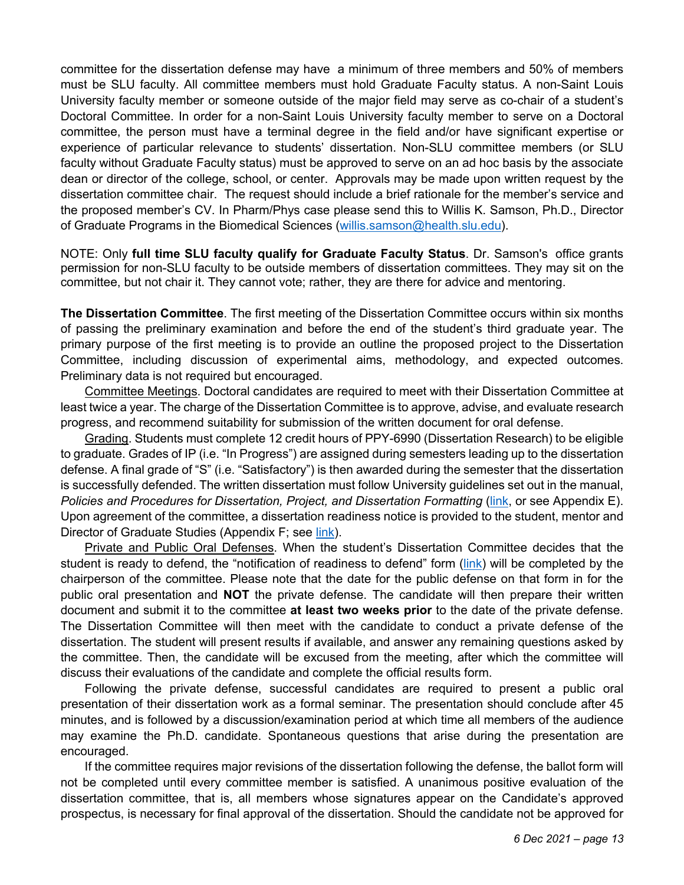committee for the dissertation defense may have a minimum of three members and 50% of members must be SLU faculty. All committee members must hold Graduate Faculty status. A non-Saint Louis University faculty member or someone outside of the major field may serve as co-chair of a student's Doctoral Committee. In order for a non-Saint Louis University faculty member to serve on a Doctoral committee, the person must have a terminal degree in the field and/or have significant expertise or experience of particular relevance to students' dissertation. Non-SLU committee members (or SLU faculty without Graduate Faculty status) must be approved to serve on an ad hoc basis by the associate dean or director of the college, school, or center. Approvals may be made upon written request by the dissertation committee chair. The request should include a brief rationale for the member's service and the proposed member's CV. In Pharm/Phys case please send this to Willis K. Samson, Ph.D., Director of Graduate Programs in the Biomedical Sciences (willis.samson@health.slu.edu).

NOTE: Only **full time SLU faculty qualify for Graduate Faculty Status**. Dr. Samson's office grants permission for non-SLU faculty to be outside members of dissertation committees. They may sit on the committee, but not chair it. They cannot vote; rather, they are there for advice and mentoring.

**The Dissertation Committee**. The first meeting of the Dissertation Committee occurs within six months of passing the preliminary examination and before the end of the student's third graduate year. The primary purpose of the first meeting is to provide an outline the proposed project to the Dissertation Committee, including discussion of experimental aims, methodology, and expected outcomes. Preliminary data is not required but encouraged.

Committee Meetings. Doctoral candidates are required to meet with their Dissertation Committee at least twice a year. The charge of the Dissertation Committee is to approve, advise, and evaluate research progress, and recommend suitability for submission of the written document for oral defense.

Grading. Students must complete 12 credit hours of PPY-6990 (Dissertation Research) to be eligible to graduate. Grades of IP (i.e. "In Progress") are assigned during semesters leading up to the dissertation defense. A final grade of "S" (i.e. "Satisfactory") is then awarded during the semester that the dissertation is successfully defended. The written dissertation must follow University guidelines set out in the manual, *Policies and Procedures for Dissertation, Project, and Dissertation Formatting* (link, or see Appendix E). Upon agreement of the committee, a dissertation readiness notice is provided to the student, mentor and Director of Graduate Studies (Appendix F; see link).

Private and Public Oral Defenses. When the student's Dissertation Committee decides that the student is ready to defend, the "notification of readiness to defend" form (link) will be completed by the chairperson of the committee. Please note that the date for the public defense on that form in for the public oral presentation and **NOT** the private defense. The candidate will then prepare their written document and submit it to the committee **at least two weeks prior** to the date of the private defense. The Dissertation Committee will then meet with the candidate to conduct a private defense of the dissertation. The student will present results if available, and answer any remaining questions asked by the committee. Then, the candidate will be excused from the meeting, after which the committee will discuss their evaluations of the candidate and complete the official results form.

Following the private defense, successful candidates are required to present a public oral presentation of their dissertation work as a formal seminar. The presentation should conclude after 45 minutes, and is followed by a discussion/examination period at which time all members of the audience may examine the Ph.D. candidate. Spontaneous questions that arise during the presentation are encouraged.

If the committee requires major revisions of the dissertation following the defense, the ballot form will not be completed until every committee member is satisfied. A unanimous positive evaluation of the dissertation committee, that is, all members whose signatures appear on the Candidate's approved prospectus, is necessary for final approval of the dissertation. Should the candidate not be approved for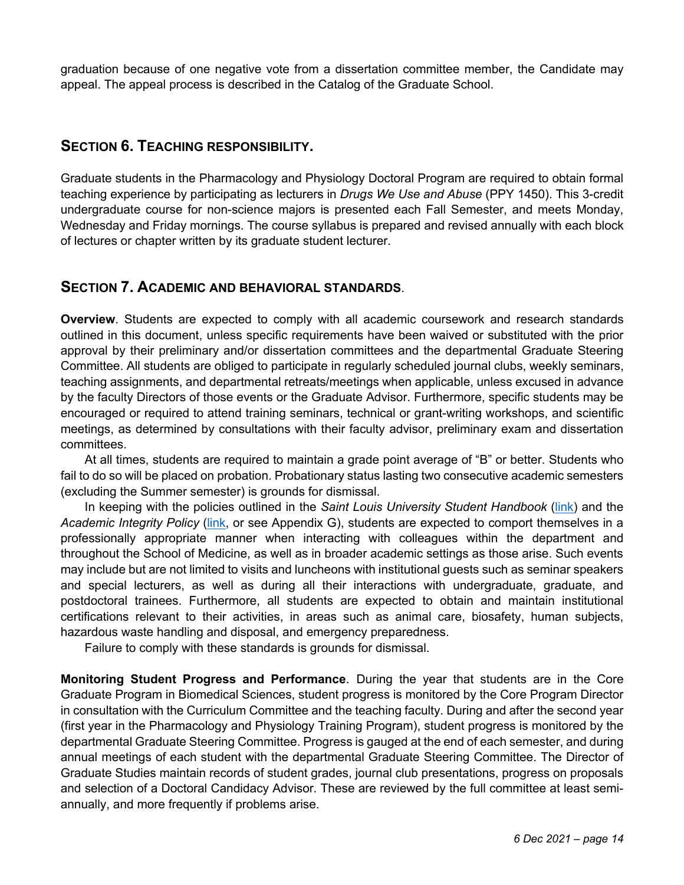graduation because of one negative vote from a dissertation committee member, the Candidate may appeal. The appeal process is described in the Catalog of the Graduate School.

## **SECTION 6. TEACHING RESPONSIBILITY.**

Graduate students in the Pharmacology and Physiology Doctoral Program are required to obtain formal teaching experience by participating as lecturers in *Drugs We Use and Abuse* (PPY 1450). This 3-credit undergraduate course for non-science majors is presented each Fall Semester, and meets Monday, Wednesday and Friday mornings. The course syllabus is prepared and revised annually with each block of lectures or chapter written by its graduate student lecturer.

## **SECTION 7. ACADEMIC AND BEHAVIORAL STANDARDS**.

**Overview**. Students are expected to comply with all academic coursework and research standards outlined in this document, unless specific requirements have been waived or substituted with the prior approval by their preliminary and/or dissertation committees and the departmental Graduate Steering Committee. All students are obliged to participate in regularly scheduled journal clubs, weekly seminars, teaching assignments, and departmental retreats/meetings when applicable, unless excused in advance by the faculty Directors of those events or the Graduate Advisor. Furthermore, specific students may be encouraged or required to attend training seminars, technical or grant-writing workshops, and scientific meetings, as determined by consultations with their faculty advisor, preliminary exam and dissertation committees.

At all times, students are required to maintain a grade point average of "B" or better. Students who fail to do so will be placed on probation. Probationary status lasting two consecutive academic semesters (excluding the Summer semester) is grounds for dismissal.

In keeping with the policies outlined in the *Saint Louis University Student Handbook* (link) and the *Academic Integrity Policy* (link, or see Appendix G), students are expected to comport themselves in a professionally appropriate manner when interacting with colleagues within the department and throughout the School of Medicine, as well as in broader academic settings as those arise. Such events may include but are not limited to visits and luncheons with institutional guests such as seminar speakers and special lecturers, as well as during all their interactions with undergraduate, graduate, and postdoctoral trainees. Furthermore, all students are expected to obtain and maintain institutional certifications relevant to their activities, in areas such as animal care, biosafety, human subjects, hazardous waste handling and disposal, and emergency preparedness.

Failure to comply with these standards is grounds for dismissal.

**Monitoring Student Progress and Performance**. During the year that students are in the Core Graduate Program in Biomedical Sciences, student progress is monitored by the Core Program Director in consultation with the Curriculum Committee and the teaching faculty. During and after the second year (first year in the Pharmacology and Physiology Training Program), student progress is monitored by the departmental Graduate Steering Committee. Progress is gauged at the end of each semester, and during annual meetings of each student with the departmental Graduate Steering Committee. The Director of Graduate Studies maintain records of student grades, journal club presentations, progress on proposals and selection of a Doctoral Candidacy Advisor. These are reviewed by the full committee at least semiannually, and more frequently if problems arise.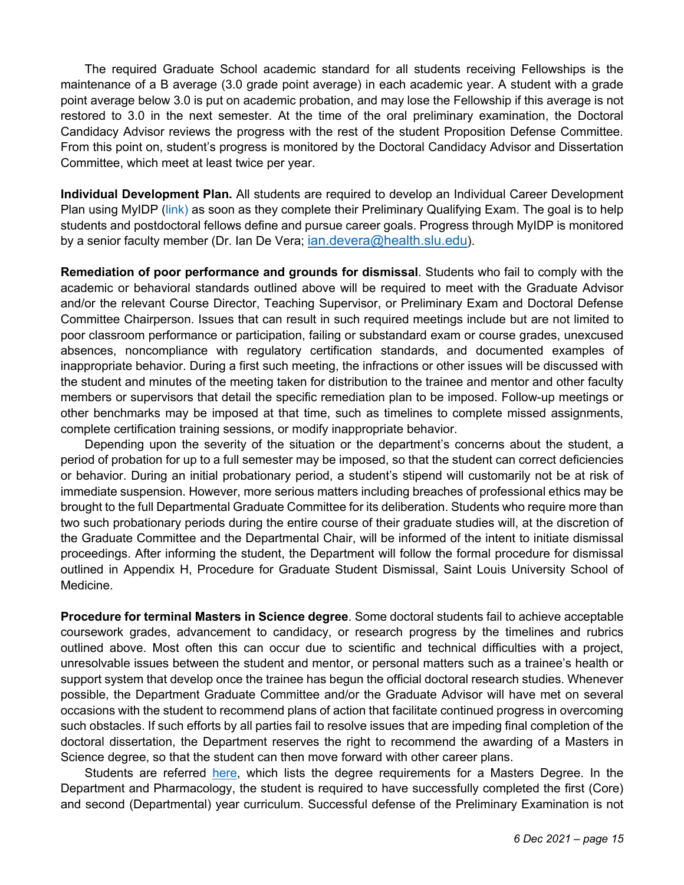The required Graduate School academic standard for all students receiving Fellowships is the maintenance of a B average (3.0 grade point average) in each academic year. A student with a grade point average below 3.0 is put on academic probation, and may lose the Fellowship if this average is not restored to 3.0 in the next semester. At the time of the oral preliminary examination, the Doctoral Candidacy Advisor reviews the progress with the rest of the student Proposition Defense Committee. From this point on, student's progress is monitored by the Doctoral Candidacy Advisor and Dissertation Committee, which meet at least twice per year.

**Individual Development Plan.** All students are required to develop an Individual Career Development Plan using MyIDP (link) as soon as they complete their Preliminary Qualifying Exam. The goal is to help students and postdoctoral fellows define and pursue career goals. Progress through MyIDP is monitored by a senior faculty member (Dr. Ian De Vera; ian.devera@health.slu.edu).

**Remediation of poor performance and grounds for dismissal**. Students who fail to comply with the academic or behavioral standards outlined above will be required to meet with the Graduate Advisor and/or the relevant Course Director, Teaching Supervisor, or Preliminary Exam and Doctoral Defense Committee Chairperson. Issues that can result in such required meetings include but are not limited to poor classroom performance or participation, failing or substandard exam or course grades, unexcused absences, noncompliance with regulatory certification standards, and documented examples of inappropriate behavior. During a first such meeting, the infractions or other issues will be discussed with the student and minutes of the meeting taken for distribution to the trainee and mentor and other faculty members or supervisors that detail the specific remediation plan to be imposed. Follow-up meetings or other benchmarks may be imposed at that time, such as timelines to complete missed assignments, complete certification training sessions, or modify inappropriate behavior.

Depending upon the severity of the situation or the department's concerns about the student, a period of probation for up to a full semester may be imposed, so that the student can correct deficiencies or behavior. During an initial probationary period, a student's stipend will customarily not be at risk of immediate suspension. However, more serious matters including breaches of professional ethics may be brought to the full Departmental Graduate Committee for its deliberation. Students who require more than two such probationary periods during the entire course of their graduate studies will, at the discretion of the Graduate Committee and the Departmental Chair, will be informed of the intent to initiate dismissal proceedings. After informing the student, the Department will follow the formal procedure for dismissal outlined in Appendix H, Procedure for Graduate Student Dismissal, Saint Louis University School of Medicine.

**Procedure for terminal Masters in Science degree**. Some doctoral students fail to achieve acceptable coursework grades, advancement to candidacy, or research progress by the timelines and rubrics outlined above. Most often this can occur due to scientific and technical difficulties with a project, unresolvable issues between the student and mentor, or personal matters such as a trainee's health or support system that develop once the trainee has begun the official doctoral research studies. Whenever possible, the Department Graduate Committee and/or the Graduate Advisor will have met on several occasions with the student to recommend plans of action that facilitate continued progress in overcoming such obstacles. If such efforts by all parties fail to resolve issues that are impeding final completion of the doctoral dissertation, the Department reserves the right to recommend the awarding of a Masters in Science degree, so that the student can then move forward with other career plans.

Students are referred here, which lists the degree requirements for a Masters Degree. In the Department and Pharmacology, the student is required to have successfully completed the first (Core) and second (Departmental) year curriculum. Successful defense of the Preliminary Examination is not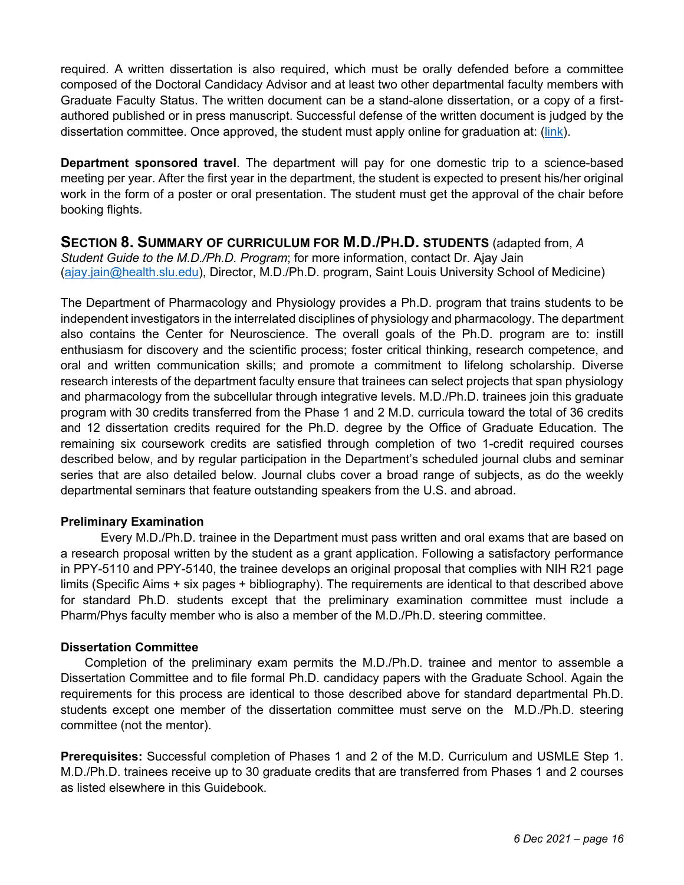required. A written dissertation is also required, which must be orally defended before a committee composed of the Doctoral Candidacy Advisor and at least two other departmental faculty members with Graduate Faculty Status. The written document can be a stand-alone dissertation, or a copy of a firstauthored published or in press manuscript. Successful defense of the written document is judged by the dissertation committee. Once approved, the student must apply online for graduation at: (link).

**Department sponsored travel**. The department will pay for one domestic trip to a science-based meeting per year. After the first year in the department, the student is expected to present his/her original work in the form of a poster or oral presentation. The student must get the approval of the chair before booking flights.

**SECTION 8. SUMMARY OF CURRICULUM FOR M.D./PH.D. STUDENTS** (adapted from, *A Student Guide to the M.D./Ph.D. Program*; for more information, contact Dr. Ajay Jain (ajay.jain@health.slu.edu), Director, M.D./Ph.D. program, Saint Louis University School of Medicine)

The Department of Pharmacology and Physiology provides a Ph.D. program that trains students to be independent investigators in the interrelated disciplines of physiology and pharmacology. The department also contains the Center for Neuroscience. The overall goals of the Ph.D. program are to: instill enthusiasm for discovery and the scientific process; foster critical thinking, research competence, and oral and written communication skills; and promote a commitment to lifelong scholarship. Diverse research interests of the department faculty ensure that trainees can select projects that span physiology and pharmacology from the subcellular through integrative levels. M.D./Ph.D. trainees join this graduate program with 30 credits transferred from the Phase 1 and 2 M.D. curricula toward the total of 36 credits and 12 dissertation credits required for the Ph.D. degree by the Office of Graduate Education. The remaining six coursework credits are satisfied through completion of two 1-credit required courses described below, and by regular participation in the Department's scheduled journal clubs and seminar series that are also detailed below. Journal clubs cover a broad range of subjects, as do the weekly departmental seminars that feature outstanding speakers from the U.S. and abroad.

#### **Preliminary Examination**

Every M.D./Ph.D. trainee in the Department must pass written and oral exams that are based on a research proposal written by the student as a grant application. Following a satisfactory performance in PPY-5110 and PPY-5140, the trainee develops an original proposal that complies with NIH R21 page limits (Specific Aims + six pages + bibliography). The requirements are identical to that described above for standard Ph.D. students except that the preliminary examination committee must include a Pharm/Phys faculty member who is also a member of the M.D./Ph.D. steering committee.

#### **Dissertation Committee**

Completion of the preliminary exam permits the M.D./Ph.D. trainee and mentor to assemble a Dissertation Committee and to file formal Ph.D. candidacy papers with the Graduate School. Again the requirements for this process are identical to those described above for standard departmental Ph.D. students except one member of the dissertation committee must serve on the M.D./Ph.D. steering committee (not the mentor).

**Prerequisites:** Successful completion of Phases 1 and 2 of the M.D. Curriculum and USMLE Step 1. M.D./Ph.D. trainees receive up to 30 graduate credits that are transferred from Phases 1 and 2 courses as listed elsewhere in this Guidebook.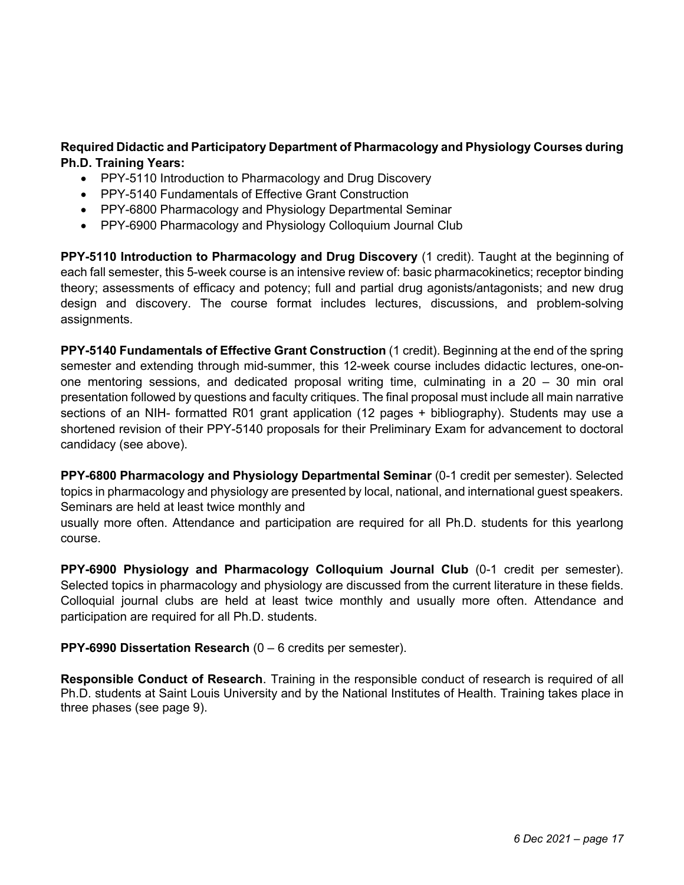#### **Required Didactic and Participatory Department of Pharmacology and Physiology Courses during Ph.D. Training Years:**

- PPY-5110 Introduction to Pharmacology and Drug Discovery
- PPY-5140 Fundamentals of Effective Grant Construction
- PPY-6800 Pharmacology and Physiology Departmental Seminar
- PPY-6900 Pharmacology and Physiology Colloquium Journal Club

**PPY-5110 Introduction to Pharmacology and Drug Discovery** (1 credit). Taught at the beginning of each fall semester, this 5-week course is an intensive review of: basic pharmacokinetics; receptor binding theory; assessments of efficacy and potency; full and partial drug agonists/antagonists; and new drug design and discovery. The course format includes lectures, discussions, and problem-solving assignments.

**PPY-5140 Fundamentals of Effective Grant Construction** (1 credit). Beginning at the end of the spring semester and extending through mid-summer, this 12-week course includes didactic lectures, one-onone mentoring sessions, and dedicated proposal writing time, culminating in a 20 – 30 min oral presentation followed by questions and faculty critiques. The final proposal must include all main narrative sections of an NIH- formatted R01 grant application (12 pages + bibliography). Students may use a shortened revision of their PPY-5140 proposals for their Preliminary Exam for advancement to doctoral candidacy (see above).

**PPY-6800 Pharmacology and Physiology Departmental Seminar** (0-1 credit per semester). Selected topics in pharmacology and physiology are presented by local, national, and international guest speakers. Seminars are held at least twice monthly and

usually more often. Attendance and participation are required for all Ph.D. students for this yearlong course.

**PPY-6900 Physiology and Pharmacology Colloquium Journal Club** (0-1 credit per semester). Selected topics in pharmacology and physiology are discussed from the current literature in these fields. Colloquial journal clubs are held at least twice monthly and usually more often. Attendance and participation are required for all Ph.D. students.

#### **PPY-6990 Dissertation Research** (0 – 6 credits per semester).

**Responsible Conduct of Research**. Training in the responsible conduct of research is required of all Ph.D. students at Saint Louis University and by the National Institutes of Health. Training takes place in three phases (see page 9).